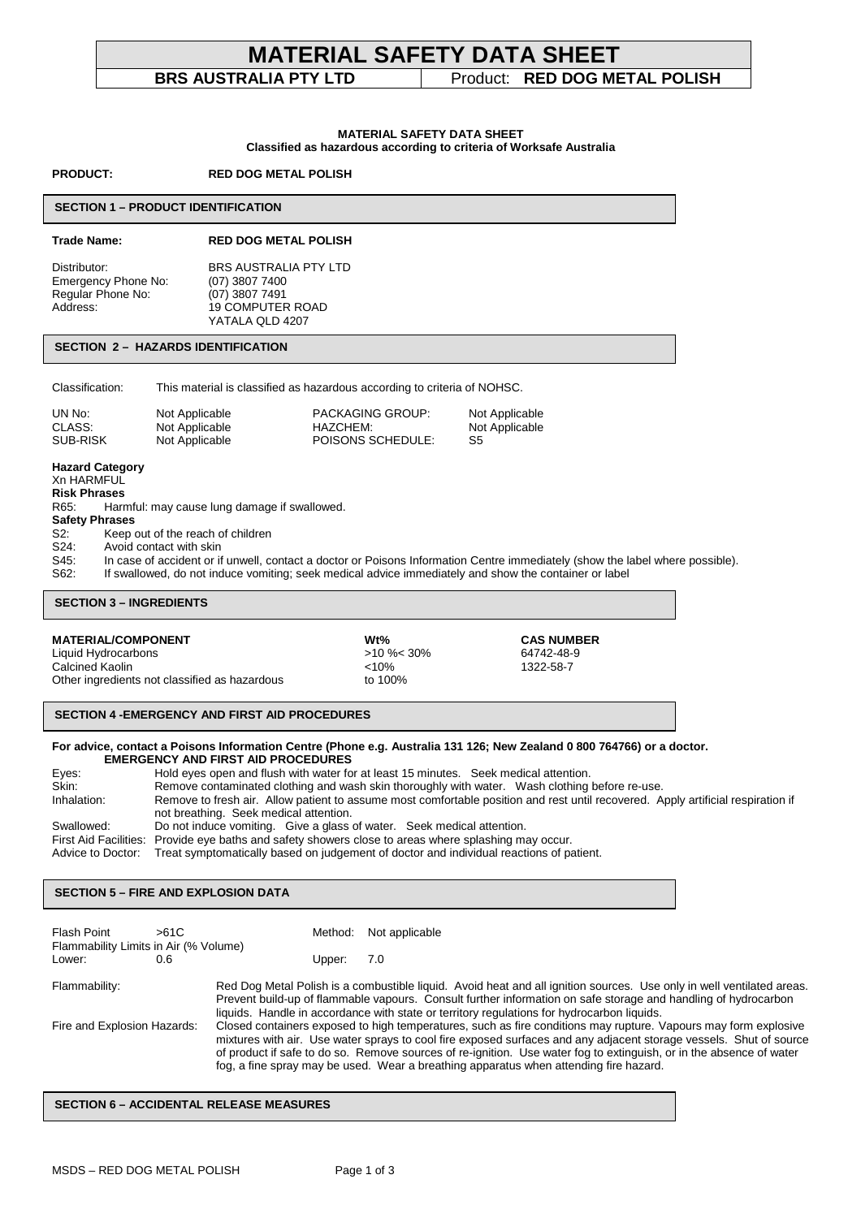# **MATERIAL SAFETY DATA SHEET**

# **BRS AUSTRALIA PTY LTD** Product: **RED DOG METAL POLISH**

#### **MATERIAL SAFETY DATA SHEET Classified as hazardous according to criteria of Worksafe Australia**

**PRODUCT: RED DOG METAL POLISH** 

#### **SECTION 1 – PRODUCT IDENTIFICATION**

#### **Trade Name: RED DOG METAL POLISH**

Distributor: BRS AUSTRALIA PTY LTD<br>Emergency Phone No: (07) 3807 7400 Emergency Phone No: (07) 3807 7400<br>Regular Phone No: (07) 3807 7491 Regular Phone No:<br>Address: 19 COMPUTER ROAD YATALA QLD 4207

## **SECTION 2 – HAZARDS IDENTIFICATION**

Classification: This material is classified as hazardous according to criteria of NOHSC.

| UN No:   | Not Applicable | <b>PACKAGING GROUP:</b> | Not Applicable |
|----------|----------------|-------------------------|----------------|
| CLASS:   | Not Applicable | HAZCHEM:                | Not Applicable |
| SUB-RISK | Not Applicable | POISONS SCHEDULE:       | S5             |

#### **Hazard Category**

Xn HARMFUL

**Risk Phrases**  R65: Harmful: may cause lung damage if swallowed.

## **Safety Phrases**

S2: Keep out of the reach of children

S24: Avoid contact with skin<br>S45: In case of accident or if In case of accident or if unwell, contact a doctor or Poisons Information Centre immediately (show the label where possible).

S62: If swallowed, do not induce vomiting; seek medical advice immediately and show the container or label

#### **SECTION 3 – INGREDIENTS**

### **MATERIAL/COMPONENT Wt% CAS NUMBER**

Liquid Hydrocarbons >10 %< 30% 64742-48-9 Calcined Kaolin <10% 1322-58-7 Other ingredients not classified as hazardous to 100%

### **SECTION 4 -EMERGENCY AND FIRST AID PROCEDURES**

#### **For advice, contact a Poisons Information Centre (Phone e.g. Australia 131 126; New Zealand 0 800 764766) or a doctor. EMERGENCY AND FIRST AID PROCEDURES**

| Eyes:       | Hold eyes open and flush with water for at least 15 minutes. Seek medical attention.                                             |  |  |
|-------------|----------------------------------------------------------------------------------------------------------------------------------|--|--|
| Skin:       | Remove contaminated clothing and wash skin thoroughly with water. Wash clothing before re-use.                                   |  |  |
| Inhalation: | Remove to fresh air. Allow patient to assume most comfortable position and rest until recovered. Apply artificial respiration if |  |  |
|             | not breathing. Seek medical attention.                                                                                           |  |  |
| Swallowed:  | Do not induce vomiting. Give a glass of water. Seek medical attention.                                                           |  |  |
|             | First Aid Facilities: Provide eye baths and safety showers close to areas where splashing may occur.                             |  |  |
|             | Advice to Doctor: Treat symptomatically based on judgement of doctor and individual reactions of patient.                        |  |  |

#### í **SECTION 5 – FIRE AND EXPLOSION DATA**

| Flash Point<br>Flammability Limits in Air (% Volume) | >61C |  | Method:                                                                                                                                                                                                                                                                                                                                                                                                                                               | Not applicable                                                                                                                                                                                                                                                                                                                        |
|------------------------------------------------------|------|--|-------------------------------------------------------------------------------------------------------------------------------------------------------------------------------------------------------------------------------------------------------------------------------------------------------------------------------------------------------------------------------------------------------------------------------------------------------|---------------------------------------------------------------------------------------------------------------------------------------------------------------------------------------------------------------------------------------------------------------------------------------------------------------------------------------|
| Lower:                                               | 0.6  |  | Upper:                                                                                                                                                                                                                                                                                                                                                                                                                                                | 7.0                                                                                                                                                                                                                                                                                                                                   |
| Flammability:                                        |      |  |                                                                                                                                                                                                                                                                                                                                                                                                                                                       | Red Dog Metal Polish is a combustible liquid. Avoid heat and all ignition sources. Use only in well ventilated areas.<br>Prevent build-up of flammable vapours. Consult further information on safe storage and handling of hydrocarbon<br>liquids. Handle in accordance with state or territory regulations for hydrocarbon liquids. |
| Fire and Explosion Hazards:                          |      |  | Closed containers exposed to high temperatures, such as fire conditions may rupture. Vapours may form explosive<br>mixtures with air. Use water sprays to cool fire exposed surfaces and any adjacent storage vessels. Shut of source<br>of product if safe to do so. Remove sources of re-ignition. Use water fog to extinguish, or in the absence of water<br>fog, a fine spray may be used. Wear a breathing apparatus when attending fire hazard. |                                                                                                                                                                                                                                                                                                                                       |

#### **SECTION 6 – ACCIDENTAL RELEASE MEASURES**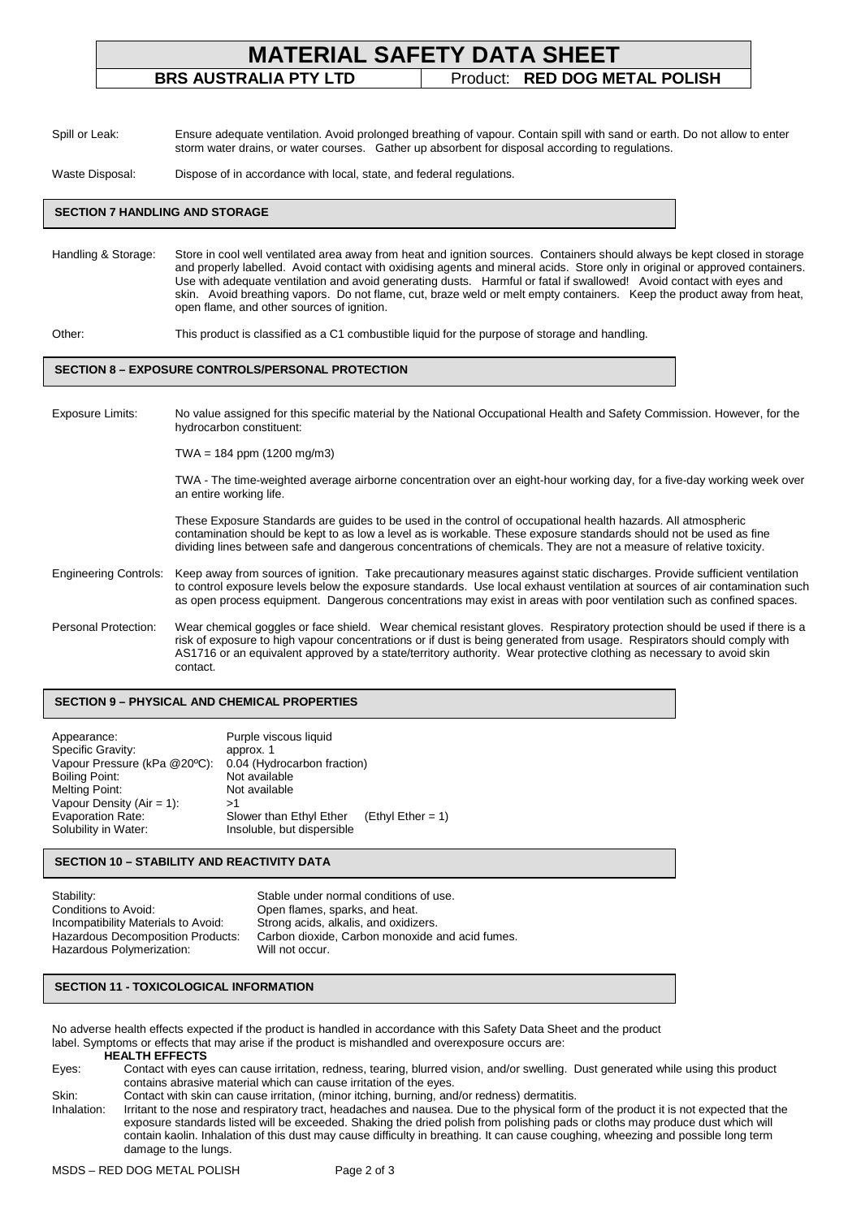| <b>MATERIAL SAFETY DATA SHEET</b> |                               |  |  |  |
|-----------------------------------|-------------------------------|--|--|--|
| <b>BRS AUSTRALIA PTY LTD</b>      | Product: RED DOG METAL POLISH |  |  |  |
|                                   |                               |  |  |  |

Spill or Leak: Ensure adequate ventilation. Avoid prolonged breathing of vapour. Contain spill with sand or earth. Do not allow to enter storm water drains, or water courses. Gather up absorbent for disposal according to regulations.

Waste Disposal: Dispose of in accordance with local, state, and federal regulations.

#### **SECTION 7 HANDLING AND STORAGE**

Handling & Storage: Store in cool well ventilated area away from heat and ignition sources. Containers should always be kept closed in storage and properly labelled. Avoid contact with oxidising agents and mineral acids. Store only in original or approved containers. Use with adequate ventilation and avoid generating dusts. Harmful or fatal if swallowed! Avoid contact with eyes and skin. Avoid breathing vapors. Do not flame, cut, braze weld or melt empty containers. Keep the product away from heat, open flame, and other sources of ignition.

Other: This product is classified as a C1 combustible liquid for the purpose of storage and handling.

#### **SECTION 8 – EXPOSURE CONTROLS/PERSONAL PROTECTION**

Exposure Limits: No value assigned for this specific material by the National Occupational Health and Safety Commission. However, for the hydrocarbon constituent:

TWA = 184 ppm (1200 mg/m3)

TWA - The time-weighted average airborne concentration over an eight-hour working day, for a five-day working week over an entire working life.

These Exposure Standards are guides to be used in the control of occupational health hazards. All atmospheric contamination should be kept to as low a level as is workable. These exposure standards should not be used as fine dividing lines between safe and dangerous concentrations of chemicals. They are not a measure of relative toxicity.

- Engineering Controls: Keep away from sources of ignition. Take precautionary measures against static discharges. Provide sufficient ventilation to control exposure levels below the exposure standards. Use local exhaust ventilation at sources of air contamination such as open process equipment. Dangerous concentrations may exist in areas with poor ventilation such as confined spaces.
- Personal Protection: Wear chemical goggles or face shield. Wear chemical resistant gloves. Respiratory protection should be used if there is a risk of exposure to high vapour concentrations or if dust is being generated from usage. Respirators should comply with AS1716 or an equivalent approved by a state/territory authority. Wear protective clothing as necessary to avoid skin contact.

#### **SECTION 9 – PHYSICAL AND CHEMICAL PROPERTIES**

| Appearance:<br>Specific Gravity:<br>Vapour Pressure (kPa @20°C): | Purple viscous liquid<br>approx. 1<br>0.04 (Hydrocarbon fraction) |                     |
|------------------------------------------------------------------|-------------------------------------------------------------------|---------------------|
| Boiling Point:<br>Melting Point:<br>Vapour Density $(Air = 1)$ : | Not available<br>Not available<br>>1                              |                     |
| Evaporation Rate:<br>Solubility in Water:                        | Slower than Ethyl Ether<br>Insoluble, but dispersible             | $(Ethyl Ether = 1)$ |

### **SECTION 10 – STABILITY AND REACTIVITY DATA**

| Stability:                               | Stable under normal conditions of use.          |
|------------------------------------------|-------------------------------------------------|
| Conditions to Avoid:                     | Open flames, sparks, and heat.                  |
| Incompatibility Materials to Avoid:      | Strong acids, alkalis, and oxidizers.           |
| <b>Hazardous Decomposition Products:</b> | Carbon dioxide. Carbon monoxide and acid fumes. |
| Hazardous Polymerization:                | Will not occur.                                 |

#### **SECTION 11 - TOXICOLOGICAL INFORMATION**

No adverse health effects expected if the product is handled in accordance with this Safety Data Sheet and the product label. Symptoms or effects that may arise if the product is mishandled and overexposure occurs are: **HEALTH EFFECTS** 

- Eyes: Contact with eyes can cause irritation, redness, tearing, blurred vision, and/or swelling. Dust generated while using this product contains abrasive material which can cause irritation of the eyes.
- Skin: Contact with skin can cause irritation, (minor itching, burning, and/or redness) dermatitis.

Inhalation: Irritant to the nose and respiratory tract, headaches and nausea. Due to the physical form of the product it is not expected that the exposure standards listed will be exceeded. Shaking the dried polish from polishing pads or cloths may produce dust which will contain kaolin. Inhalation of this dust may cause difficulty in breathing. It can cause coughing, wheezing and possible long term damage to the lungs.